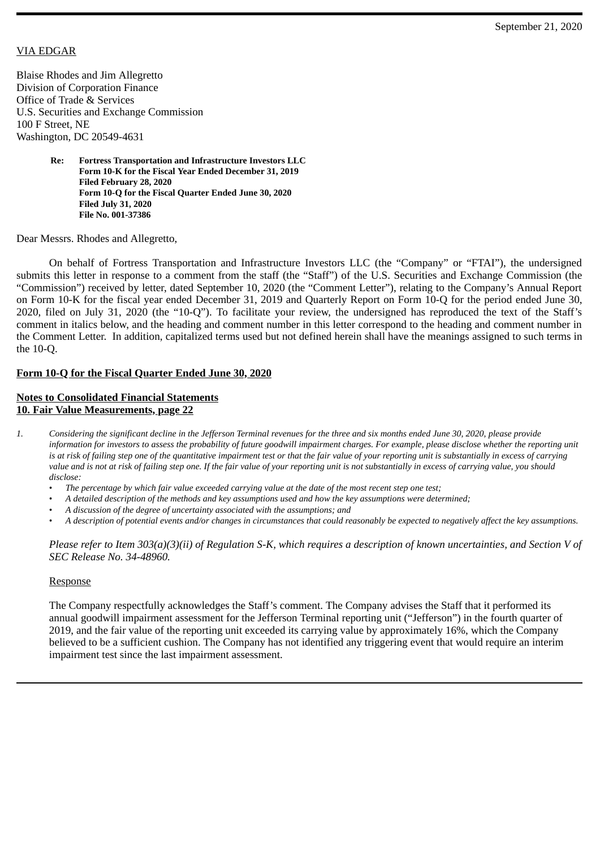## VIA EDGAR

Blaise Rhodes and Jim Allegretto Division of Corporation Finance Office of Trade & Services U.S. Securities and Exchange Commission 100 F Street, NE Washington, DC 20549-4631

> **Re: Fortress Transportation and Infrastructure Investors LLC Form 10-K for the Fiscal Year Ended December 31, 2019 Filed February 28, 2020 Form 10-Q for the Fiscal Quarter Ended June 30, 2020 Filed July 31, 2020 File No. 001-37386**

Dear Messrs. Rhodes and Allegretto,

On behalf of Fortress Transportation and Infrastructure Investors LLC (the "Company" or "FTAI"), the undersigned submits this letter in response to a comment from the staff (the "Staff") of the U.S. Securities and Exchange Commission (the "Commission") received by letter, dated September 10, 2020 (the "Comment Letter"), relating to the Company's Annual Report on Form 10-K for the fiscal year ended December 31, 2019 and Quarterly Report on Form 10-Q for the period ended June 30, 2020, filed on July 31, 2020 (the "10-Q"). To facilitate your review, the undersigned has reproduced the text of the Staff's comment in italics below, and the heading and comment number in this letter correspond to the heading and comment number in the Comment Letter. In addition, capitalized terms used but not defined herein shall have the meanings assigned to such terms in the 10-Q.

## **Form 10-Q for the Fiscal Quarter Ended June 30, 2020**

## **Notes to Consolidated Financial Statements 10. Fair Value Measurements, page 22**

- 1. Considering the significant decline in the Jefferson Terminal revenues for the three and six months ended June 30, 2020, please provide information for investors to assess the probability of future goodwill impairment charges. For example, please disclose whether the reporting unit is at risk of failing step one of the quantitative impairment test or that the fair value of your reporting unit is substantially in excess of carrying value and is not at risk of failing step one. If the fair value of your reporting unit is not substantially in excess of carrying value, you should *disclose:*
	- The percentage by which fair value exceeded carrying value at the date of the most recent step one test;
	- A detailed description of the methods and key assumptions used and how the key assumptions were determined;
	- *A discussion of the degree of uncertainty associated with the assumptions; and*
	- A description of potential events and/or changes in circumstances that could reasonably be expected to negatively affect the key assumptions.

*Please refer to Item 303(a)(3)(ii) of Regulation S-K, which requires a description of known uncertainties, and Section V of SEC Release No. 34-48960.*

## Response

The Company respectfully acknowledges the Staff's comment. The Company advises the Staff that it performed its annual goodwill impairment assessment for the Jefferson Terminal reporting unit ("Jefferson") in the fourth quarter of 2019, and the fair value of the reporting unit exceeded its carrying value by approximately 16%, which the Company believed to be a sufficient cushion. The Company has not identified any triggering event that would require an interim impairment test since the last impairment assessment.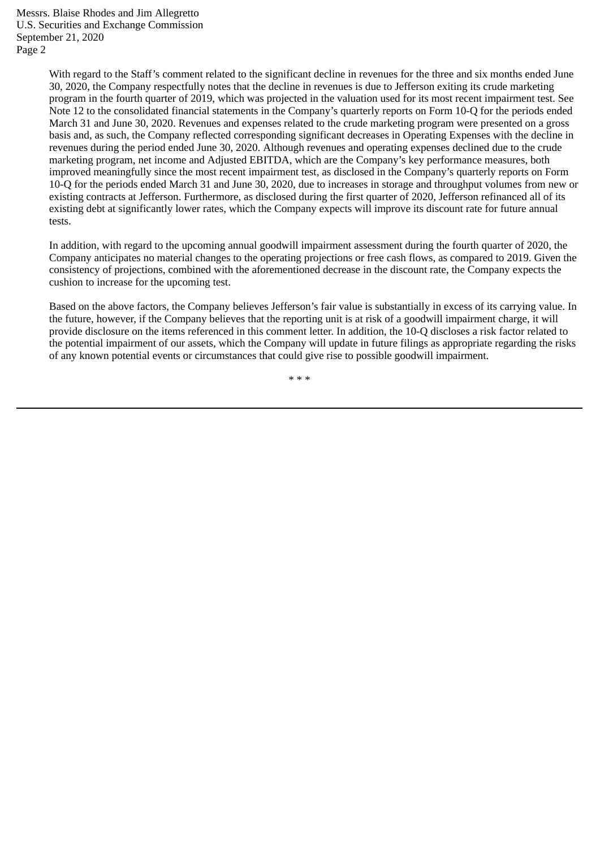Messrs. Blaise Rhodes and Jim Allegretto U.S. Securities and Exchange Commission September 21, 2020 Page 2

> With regard to the Staff's comment related to the significant decline in revenues for the three and six months ended June 30, 2020, the Company respectfully notes that the decline in revenues is due to Jefferson exiting its crude marketing program in the fourth quarter of 2019, which was projected in the valuation used for its most recent impairment test. See Note 12 to the consolidated financial statements in the Company's quarterly reports on Form 10-Q for the periods ended March 31 and June 30, 2020. Revenues and expenses related to the crude marketing program were presented on a gross basis and, as such, the Company reflected corresponding significant decreases in Operating Expenses with the decline in revenues during the period ended June 30, 2020. Although revenues and operating expenses declined due to the crude marketing program, net income and Adjusted EBITDA, which are the Company's key performance measures, both improved meaningfully since the most recent impairment test, as disclosed in the Company's quarterly reports on Form 10-Q for the periods ended March 31 and June 30, 2020, due to increases in storage and throughput volumes from new or existing contracts at Jefferson. Furthermore, as disclosed during the first quarter of 2020, Jefferson refinanced all of its existing debt at significantly lower rates, which the Company expects will improve its discount rate for future annual tests.

> In addition, with regard to the upcoming annual goodwill impairment assessment during the fourth quarter of 2020, the Company anticipates no material changes to the operating projections or free cash flows, as compared to 2019. Given the consistency of projections, combined with the aforementioned decrease in the discount rate, the Company expects the cushion to increase for the upcoming test.

> Based on the above factors, the Company believes Jefferson's fair value is substantially in excess of its carrying value. In the future, however, if the Company believes that the reporting unit is at risk of a goodwill impairment charge, it will provide disclosure on the items referenced in this comment letter. In addition, the 10-Q discloses a risk factor related to the potential impairment of our assets, which the Company will update in future filings as appropriate regarding the risks of any known potential events or circumstances that could give rise to possible goodwill impairment.

> > \* \* \*